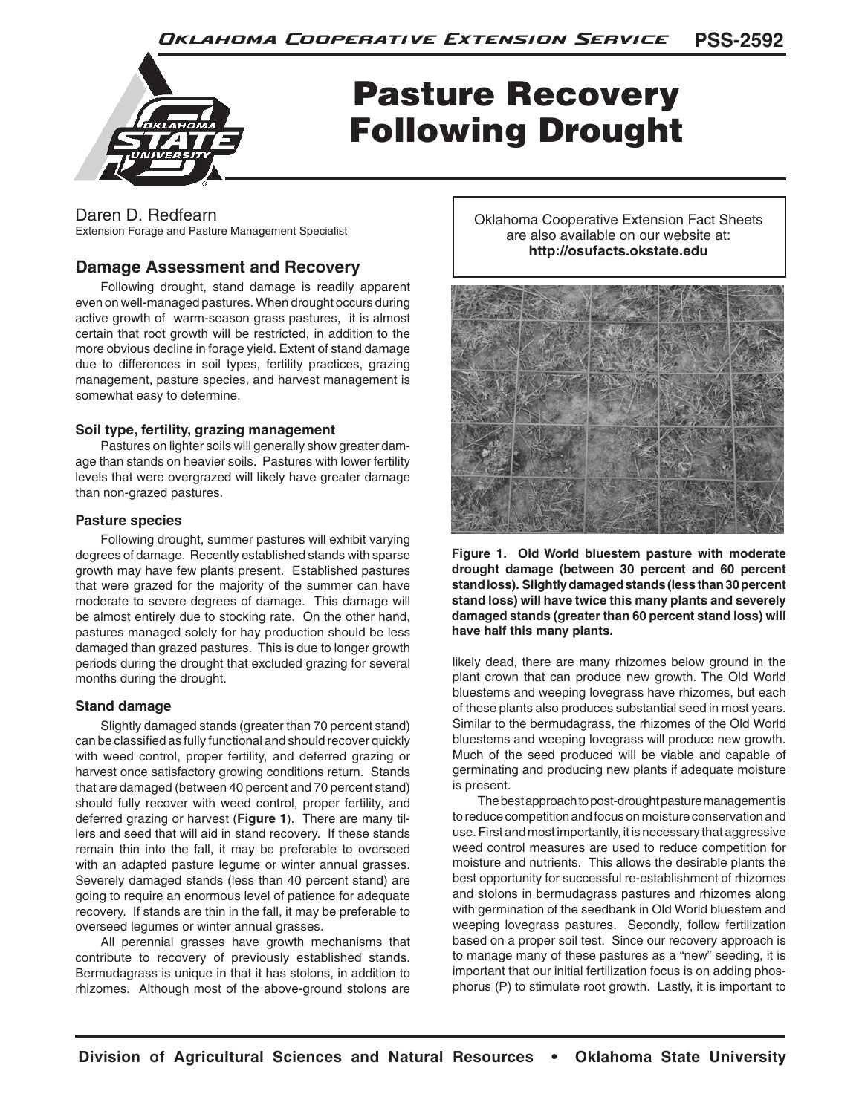

# Pasture Recovery Following Drought

# Daren D. Redfearn

Extension Forage and Pasture Management Specialist

# **Damage Assessment and Recovery**

Following drought, stand damage is readily apparent even on well-managed pastures. When drought occurs during active growth of warm-season grass pastures, it is almost certain that root growth will be restricted, in addition to the more obvious decline in forage yield. Extent of stand damage due to differences in soil types, fertility practices, grazing management, pasture species, and harvest management is somewhat easy to determine.

# **Soil type, fertility, grazing management**

Pastures on lighter soils will generally show greater damage than stands on heavier soils. Pastures with lower fertility levels that were overgrazed will likely have greater damage than non-grazed pastures.

# **Pasture species**

Following drought, summer pastures will exhibit varying degrees of damage. Recently established stands with sparse growth may have few plants present. Established pastures that were grazed for the majority of the summer can have moderate to severe degrees of damage. This damage will be almost entirely due to stocking rate. On the other hand, pastures managed solely for hay production should be less damaged than grazed pastures. This is due to longer growth periods during the drought that excluded grazing for several months during the drought.

# **Stand damage**

Slightly damaged stands (greater than 70 percent stand) can be classified as fully functional and should recover quickly with weed control, proper fertility, and deferred grazing or harvest once satisfactory growing conditions return. Stands that are damaged (between 40 percent and 70 percent stand) should fully recover with weed control, proper fertility, and deferred grazing or harvest (**Figure 1**). There are many tillers and seed that will aid in stand recovery. If these stands remain thin into the fall, it may be preferable to overseed with an adapted pasture legume or winter annual grasses. Severely damaged stands (less than 40 percent stand) are going to require an enormous level of patience for adequate recovery. If stands are thin in the fall, it may be preferable to overseed legumes or winter annual grasses.

All perennial grasses have growth mechanisms that contribute to recovery of previously established stands. Bermudagrass is unique in that it has stolons, in addition to rhizomes. Although most of the above-ground stolons are

Oklahoma Cooperative Extension Fact Sheets are also available on our website at: **http://osufacts.okstate.edu**



**Figure 1. Old World bluestem pasture with moderate drought damage (between 30 percent and 60 percent stand loss). Slightly damaged stands (less than 30 percent stand loss) will have twice this many plants and severely damaged stands (greater than 60 percent stand loss) will have half this many plants.**

likely dead, there are many rhizomes below ground in the plant crown that can produce new growth. The Old World bluestems and weeping lovegrass have rhizomes, but each of these plants also produces substantial seed in most years. Similar to the bermudagrass, the rhizomes of the Old World bluestems and weeping lovegrass will produce new growth. Much of the seed produced will be viable and capable of germinating and producing new plants if adequate moisture is present.

The best approach to post-drought pasture management is to reduce competition and focus on moisture conservation and use. First and most importantly, it is necessary that aggressive weed control measures are used to reduce competition for moisture and nutrients. This allows the desirable plants the best opportunity for successful re-establishment of rhizomes and stolons in bermudagrass pastures and rhizomes along with germination of the seedbank in Old World bluestem and weeping lovegrass pastures. Secondly, follow fertilization based on a proper soil test. Since our recovery approach is to manage many of these pastures as a "new" seeding, it is important that our initial fertilization focus is on adding phosphorus (P) to stimulate root growth. Lastly, it is important to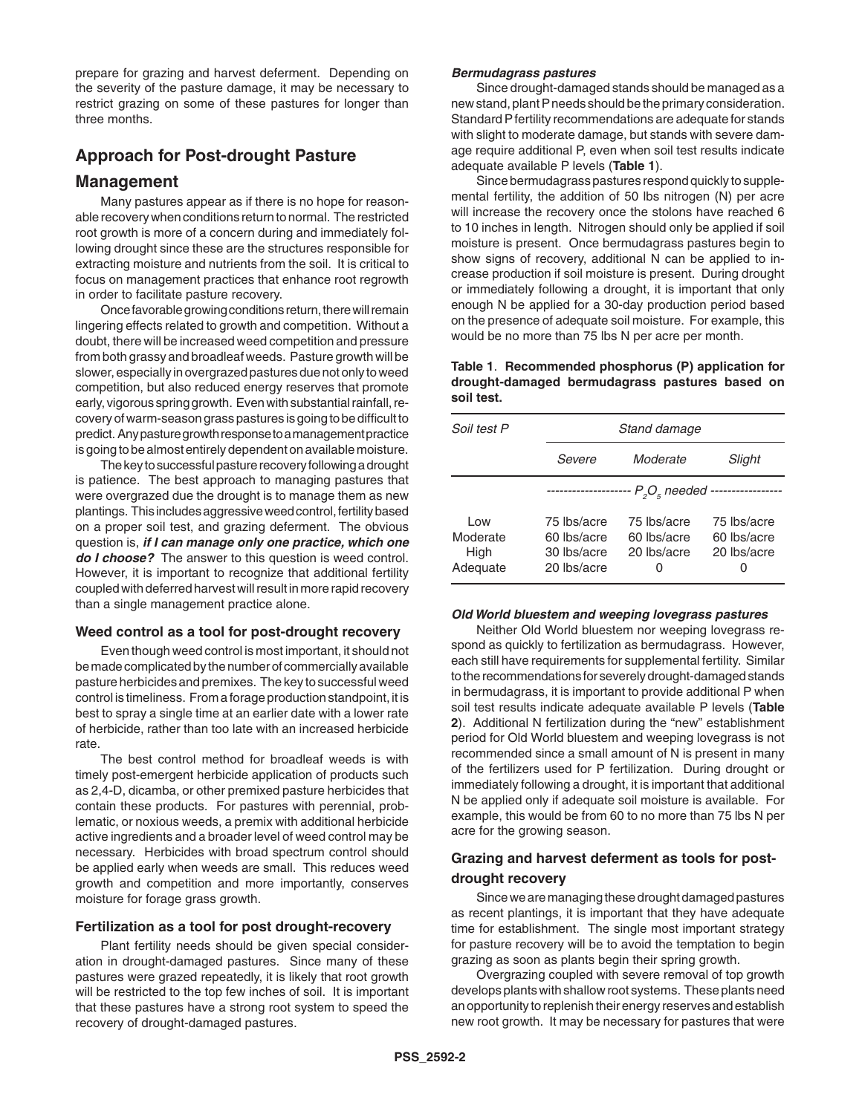prepare for grazing and harvest deferment. Depending on the severity of the pasture damage, it may be necessary to restrict grazing on some of these pastures for longer than three months.

# **Approach for Post-drought Pasture**

# **Management**

Many pastures appear as if there is no hope for reasonable recovery when conditions return to normal. The restricted root growth is more of a concern during and immediately following drought since these are the structures responsible for extracting moisture and nutrients from the soil. It is critical to focus on management practices that enhance root regrowth in order to facilitate pasture recovery.

Once favorable growing conditions return, there will remain lingering effects related to growth and competition. Without a doubt, there will be increased weed competition and pressure from both grassy and broadleaf weeds. Pasture growth will be slower, especially in overgrazed pastures due not only to weed competition, but also reduced energy reserves that promote early, vigorous spring growth. Even with substantial rainfall, recovery of warm-season grass pastures is going to be difficult to predict. Any pasture growth response to a management practice is going to be almost entirely dependent on available moisture.

The key to successful pasture recovery following a drought is patience. The best approach to managing pastures that were overgrazed due the drought is to manage them as new plantings. This includes aggressive weed control, fertility based on a proper soil test, and grazing deferment. The obvious question is, *if I can manage only one practice, which one do I choose?* The answer to this question is weed control. However, it is important to recognize that additional fertility coupled with deferred harvest will result in more rapid recovery than a single management practice alone.

#### **Weed control as a tool for post-drought recovery**

Even though weed control is most important, it should not be made complicated by the number of commercially available pasture herbicides and premixes. The key to successful weed control is timeliness. From a forage production standpoint, it is best to spray a single time at an earlier date with a lower rate of herbicide, rather than too late with an increased herbicide rate.

The best control method for broadleaf weeds is with timely post-emergent herbicide application of products such as 2,4-D, dicamba, or other premixed pasture herbicides that contain these products. For pastures with perennial, problematic, or noxious weeds, a premix with additional herbicide active ingredients and a broader level of weed control may be necessary. Herbicides with broad spectrum control should be applied early when weeds are small. This reduces weed growth and competition and more importantly, conserves moisture for forage grass growth.

#### **Fertilization as a tool for post drought-recovery**

Plant fertility needs should be given special consideration in drought-damaged pastures. Since many of these pastures were grazed repeatedly, it is likely that root growth will be restricted to the top few inches of soil. It is important that these pastures have a strong root system to speed the recovery of drought-damaged pastures.

#### *Bermudagrass pastures*

Since drought-damaged stands should be managed as a new stand, plant P needs should be the primary consideration. Standard P fertility recommendations are adequate for stands with slight to moderate damage, but stands with severe damage require additional P, even when soil test results indicate adequate available P levels (**Table 1**).

Since bermudagrass pastures respond quickly to supplemental fertility, the addition of 50 lbs nitrogen (N) per acre will increase the recovery once the stolons have reached 6 to 10 inches in length. Nitrogen should only be applied if soil moisture is present. Once bermudagrass pastures begin to show signs of recovery, additional N can be applied to increase production if soil moisture is present. During drought or immediately following a drought, it is important that only enough N be applied for a 30-day production period based on the presence of adequate soil moisture. For example, this would be no more than 75 lbs N per acre per month.

#### **Table 1**. **Recommended phosphorus (P) application for drought-damaged bermudagrass pastures based on soil test.**

| Soil test P                         |                                                          | Stand damage                                   |                                           |  |
|-------------------------------------|----------------------------------------------------------|------------------------------------------------|-------------------------------------------|--|
|                                     | Severe                                                   | Moderate                                       | Slight                                    |  |
|                                     |                                                          |                                                |                                           |  |
| Low<br>Moderate<br>High<br>Adequate | 75 lbs/acre<br>60 lbs/acre<br>30 lbs/acre<br>20 lbs/acre | 75 lbs/acre<br>60 lbs/acre<br>20 lbs/acre<br>O | 75 lbs/acre<br>60 lbs/acre<br>20 lbs/acre |  |

#### *Old World bluestem and weeping lovegrass pastures*

Neither Old World bluestem nor weeping lovegrass respond as quickly to fertilization as bermudagrass. However, each still have requirements for supplemental fertility. Similar to the recommendations for severely drought-damaged stands in bermudagrass, it is important to provide additional P when soil test results indicate adequate available P levels (**Table 2**). Additional N fertilization during the "new" establishment period for Old World bluestem and weeping lovegrass is not recommended since a small amount of N is present in many of the fertilizers used for P fertilization. During drought or immediately following a drought, it is important that additional N be applied only if adequate soil moisture is available. For example, this would be from 60 to no more than 75 lbs N per acre for the growing season.

# **Grazing and harvest deferment as tools for postdrought recovery**

Since we are managing these drought damaged pastures as recent plantings, it is important that they have adequate time for establishment. The single most important strategy for pasture recovery will be to avoid the temptation to begin grazing as soon as plants begin their spring growth.

Overgrazing coupled with severe removal of top growth develops plants with shallow root systems. These plants need an opportunity to replenish their energy reserves and establish new root growth. It may be necessary for pastures that were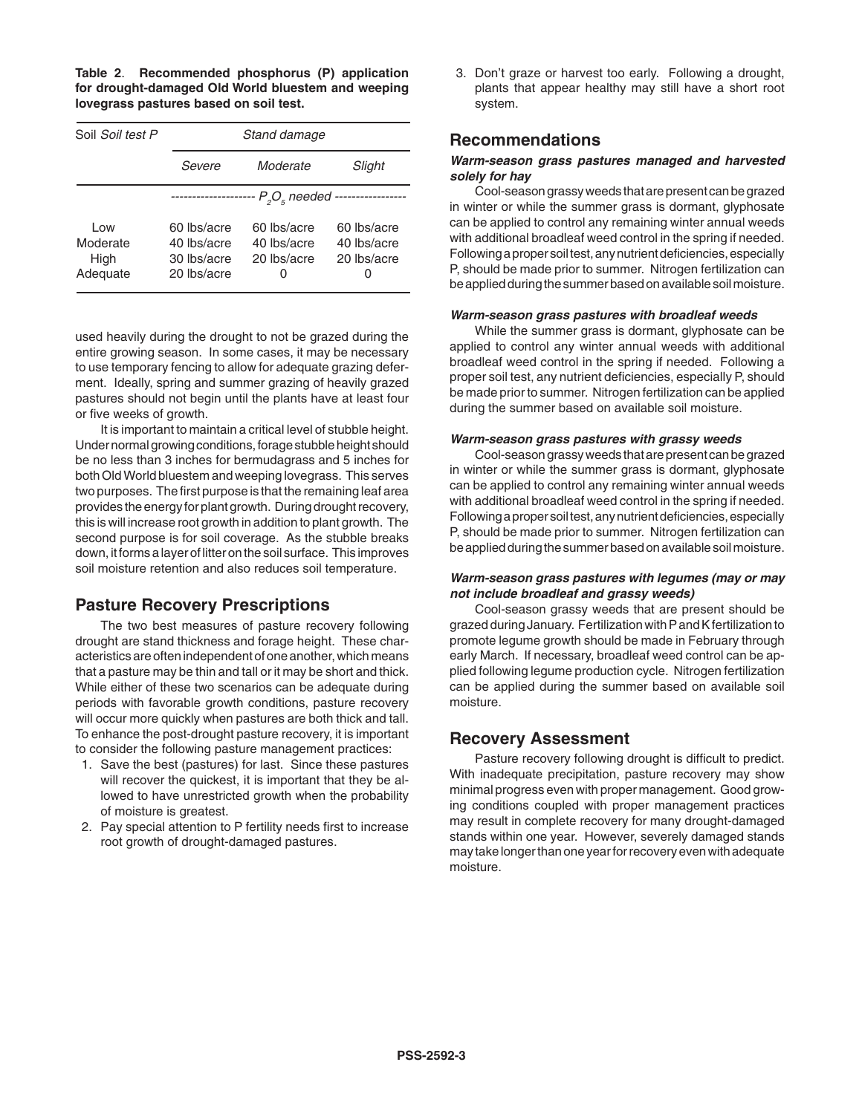**Table 2**. **Recommended phosphorus (P) application for drought-damaged Old World bluestem and weeping lovegrass pastures based on soil test.**

| Soil Soil test P                    | Stand damage                                                 |                                                |                                                |  |
|-------------------------------------|--------------------------------------------------------------|------------------------------------------------|------------------------------------------------|--|
|                                     | Severe                                                       | Moderate                                       | Slight                                         |  |
|                                     | -- P <sub>2</sub> O <sub>s</sub> needed --<br>-------------- |                                                |                                                |  |
| Low<br>Moderate<br>High<br>Adequate | 60 lbs/acre<br>40 lbs/acre<br>30 lbs/acre<br>20 lbs/acre     | 60 lbs/acre<br>40 lbs/acre<br>20 lbs/acre<br>O | 60 lbs/acre<br>40 lbs/acre<br>20 lbs/acre<br>O |  |

used heavily during the drought to not be grazed during the entire growing season. In some cases, it may be necessary to use temporary fencing to allow for adequate grazing deferment. Ideally, spring and summer grazing of heavily grazed pastures should not begin until the plants have at least four or five weeks of growth.

It is important to maintain a critical level of stubble height. Under normal growing conditions, forage stubble height should be no less than 3 inches for bermudagrass and 5 inches for both Old World bluestem and weeping lovegrass. This serves two purposes. The first purpose is that the remaining leaf area provides the energy for plant growth. During drought recovery, this is will increase root growth in addition to plant growth. The second purpose is for soil coverage. As the stubble breaks down, it forms a layer of litter on the soil surface. This improves soil moisture retention and also reduces soil temperature.

# **Pasture Recovery Prescriptions**

The two best measures of pasture recovery following drought are stand thickness and forage height. These characteristics are often independent of one another, which means that a pasture may be thin and tall or it may be short and thick. While either of these two scenarios can be adequate during periods with favorable growth conditions, pasture recovery will occur more quickly when pastures are both thick and tall. To enhance the post-drought pasture recovery, it is important to consider the following pasture management practices:

- 1. Save the best (pastures) for last. Since these pastures will recover the quickest, it is important that they be allowed to have unrestricted growth when the probability of moisture is greatest.
- 2. Pay special attention to P fertility needs first to increase root growth of drought-damaged pastures.

3. Don't graze or harvest too early. Following a drought, plants that appear healthy may still have a short root system.

# **Recommendations**

#### *Warm-season grass pastures managed and harvested solely for hay*

Cool-season grassy weeds that are present can be grazed in winter or while the summer grass is dormant, glyphosate can be applied to control any remaining winter annual weeds with additional broadleaf weed control in the spring if needed. Following a proper soil test, any nutrient deficiencies, especially P, should be made prior to summer. Nitrogen fertilization can be applied during the summer based on available soil moisture.

#### *Warm-season grass pastures with broadleaf weeds*

While the summer grass is dormant, glyphosate can be applied to control any winter annual weeds with additional broadleaf weed control in the spring if needed. Following a proper soil test, any nutrient deficiencies, especially P, should be made prior to summer. Nitrogen fertilization can be applied during the summer based on available soil moisture.

#### *Warm-season grass pastures with grassy weeds*

Cool-season grassy weeds that are present can be grazed in winter or while the summer grass is dormant, glyphosate can be applied to control any remaining winter annual weeds with additional broadleaf weed control in the spring if needed. Following a proper soil test, any nutrient deficiencies, especially P, should be made prior to summer. Nitrogen fertilization can be applied during the summer based on available soil moisture.

#### *Warm-season grass pastures with legumes (may or may not include broadleaf and grassy weeds)*

Cool-season grassy weeds that are present should be grazed during January. Fertilization with P and K fertilization to promote legume growth should be made in February through early March. If necessary, broadleaf weed control can be applied following legume production cycle. Nitrogen fertilization can be applied during the summer based on available soil moisture.

#### **Recovery Assessment**

Pasture recovery following drought is difficult to predict. With inadequate precipitation, pasture recovery may show minimal progress even with proper management. Good growing conditions coupled with proper management practices may result in complete recovery for many drought-damaged stands within one year. However, severely damaged stands may take longer than one year for recovery even with adequate moisture.